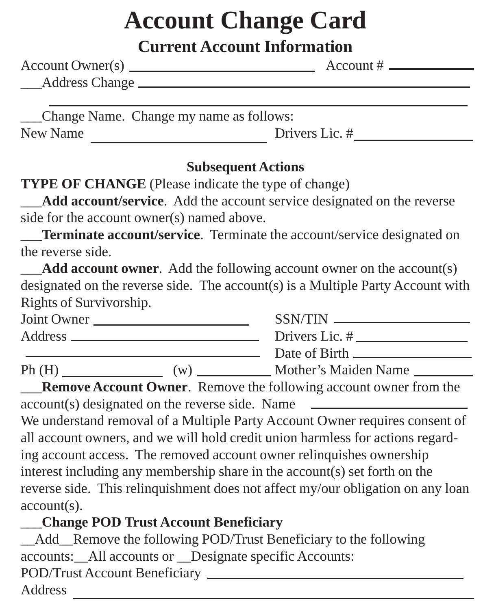# **Account Change Card**

## **Current Account Information**

| Account Owner(s) _ | Account $#$ $\overline{ }$ |
|--------------------|----------------------------|
| _Address Change _  |                            |
|                    |                            |

\_\_\_Change Name. Change my name as follows: New Name Drivers Lic. #

#### **Subsequent Actions**

**TYPE OF CHANGE** (Please indicate the type of change)

Add account/service. Add the account service designated on the reverse side for the account owner(s) named above.

**Terminate account/service**. Terminate the account/service designated on the reverse side.

Add account owner. Add the following account owner on the account(s) designated on the reverse side. The account(s) is a Multiple Party Account with Rights of Survivorship.

| Joint Owner |    | $SSN/TIN$ _____      |
|-------------|----|----------------------|
|             |    | Drivers Lic. #       |
|             |    | Date of Birth        |
| Ph(H)       | (w | Mother's Maiden Name |

**Remove Account Owner.** Remove the following account owner from the account(s) designated on the reverse side. Name

We understand removal of a Multiple Party Account Owner requires consent of all account owners, and we will hold credit union harmless for actions regarding account access. The removed account owner relinquishes ownership interest including any membership share in the account(s) set forth on the reverse side. This relinquishment does not affect my/our obligation on any loan account(s).

## \_\_\_**Change POD Trust Account Beneficiary**

Add Remove the following POD/Trust Beneficiary to the following accounts: All accounts or Designate specific Accounts: POD/Trust Account Beneficiary Address